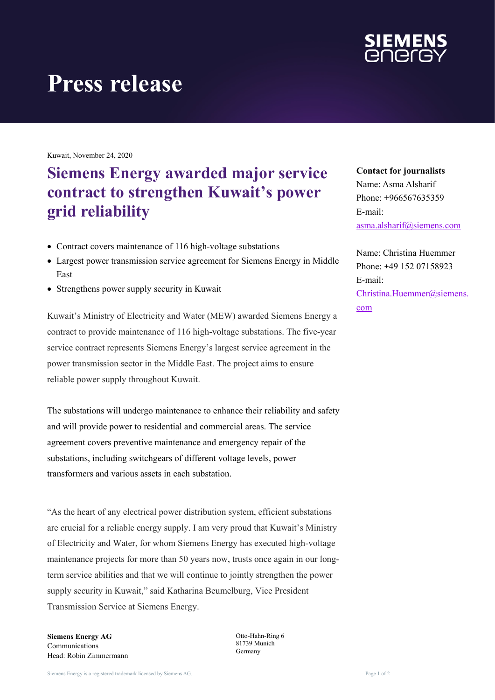

# **Press release**

Kuwait, November 24, 2020

## **Siemens Energy awarded major service contract to strengthen Kuwait's power grid reliability**

- Contract covers maintenance of 116 high-voltage substations
- Largest power transmission service agreement for Siemens Energy in Middle East
- Strengthens power supply security in Kuwait

Kuwait's Ministry of Electricity and Water (MEW) awarded Siemens Energy a contract to provide maintenance of 116 high-voltage substations. The five-year service contract represents Siemens Energy's largest service agreement in the power transmission sector in the Middle East. The project aims to ensure reliable power supply throughout Kuwait.

The substations will undergo maintenance to enhance their reliability and safety and will provide power to residential and commercial areas. The service agreement covers preventive maintenance and emergency repair of the substations, including switchgears of different voltage levels, power transformers and various assets in each substation.

"As the heart of any electrical power distribution system, efficient substations are crucial for a reliable energy supply. I am very proud that Kuwait's Ministry of Electricity and Water, for whom Siemens Energy has executed high-voltage maintenance projects for more than 50 years now, trusts once again in our longterm service abilities and that we will continue to jointly strengthen the power supply security in Kuwait," said Katharina Beumelburg, Vice President Transmission Service at Siemens Energy.

**Siemens Energy AG** Communications Head: Robin Zimmermann Otto-Hahn-Ring 6 81739 Munich Germany

### **Contact for journalists**

Name: Asma Alsharif Phone: +966567635359 E-mail: [asma.alsharif@siemens.com](mailto:asma.alsharif@siemens.com)

Name: Christina Huemmer Phone: +49 152 07158923 E-mail: [Christina.Huemmer@siemens.](mailto:Christina.Huemmer@siemens.com) [com](mailto:Christina.Huemmer@siemens.com)